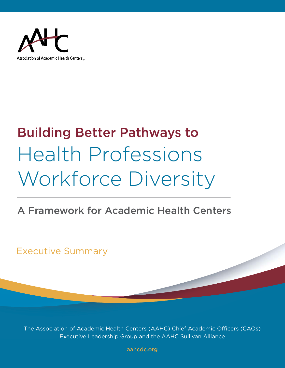

# Building Better Pathways to Health Professions Workforce Diversity

# A Framework for Academic Health Centers

Executive Summary

The Association of Academic Health Centers (AAHC) Chief Academic Officers (CAOs) Executive Leadership Group and the AAHC Sullivan Alliance

[aahcdc.org](https://www.aahcdc.org)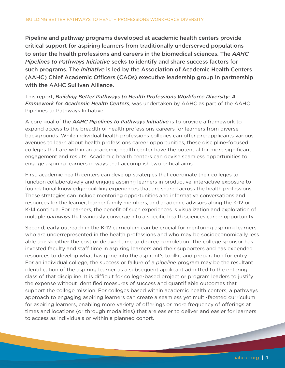Pipeline and pathway programs developed at academic health centers provide critical support for aspiring learners from traditionally underserved populations to enter the health professions and careers in the biomedical sciences. The *AAHC Pipelines to Pathways Initiative* seeks to identify and share success factors for such programs. The *Initiative* is led by the Association of Academic Health Centers (AAHC) Chief Academic Officers (CAOs) executive leadership group in partnership with the AAHC Sullivan Alliance.

This report, *Building Better Pathways to Health Professions Workforce Diversity: A Framework for Academic Health Centers*, was undertaken by AAHC as part of the AAHC Pipelines to Pathways Initiative.

A core goal of the *AAHC Pipelines to Pathways Initiative* is to provide a framework to expand access to the breadth of health professions careers for learners from diverse backgrounds. While individual health professions colleges can offer pre-applicants various avenues to learn about health professions career opportunities, these discipline-focused colleges that are within an academic health center have the potential for more significant engagement and results. Academic health centers can devise seamless opportunities to engage aspiring learners in ways that accomplish two critical aims.

First, academic health centers can develop strategies that coordinate their colleges to function collaboratively and engage aspiring learners in productive, interactive exposure to foundational knowledge-building experiences that are shared across the health professions. These strategies can include mentoring opportunities and informative conversations and resources for the learner, learner family members, and academic advisors along the K-12 or K-14 continua. For learners, the benefit of such experiences is visualization and exploration of multiple *pathways* that variously converge into a specific health sciences career opportunity.

Second, early outreach in the K-12 curriculum can be crucial for mentoring aspiring learners who are underrepresented in the health professions and who may be socioeconomically less able to risk either the cost or delayed time to degree completion. The college sponsor has invested faculty and staff time in aspiring learners and their supporters and has expended resources to develop what has gone into the aspirant's toolkit and preparation for entry. For an individual college, the success or failure of a *pipeline* program may be the resultant identification of the aspiring learner as a subsequent applicant admitted to the entering class of that discipline. It is difficult for college-based project or program leaders to justify the expense without identified measures of success and quantifiable outcomes that support the college mission. For colleges based within academic health centers, a pathways approach to engaging aspiring learners can create a seamless yet multi-faceted curriculum for aspiring learners, enabling more variety of offerings or more frequency of offerings at times and locations (or through modalities) that are easier to deliver and easier for learners to access as individuals or within a planned cohort.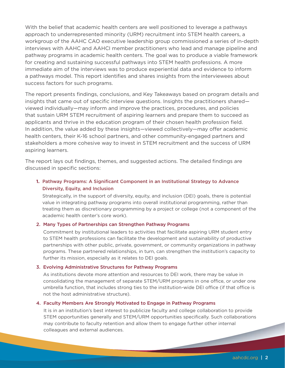With the belief that academic health centers are well positioned to leverage a pathways approach to underrepresented minority (URM) recruitment into STEM health careers, a workgroup of the AAHC CAO executive leadership group commissioned a series of in-depth interviews with AAHC and AAHCI member practitioners who lead and manage pipeline and pathway programs in academic health centers. The goal was to produce a viable framework for creating and sustaining successful pathways into STEM health professions. A more immediate aim of the interviews was to produce experiential data and evidence to inform a pathways model. This report identifies and shares insights from the interviewees about success factors for such programs.

The report presents findings, conclusions, and Key Takeaways based on program details and insights that came out of specific interview questions. Insights the practitioners shared viewed individually—may inform and improve the practices, procedures, and policies that sustain URM STEM recruitment of aspiring learners and prepare them to succeed as applicants and thrive in the education program of their chosen health profession field. In addition, the value added by these insights—viewed collectively—may offer academic health centers, their K-16 school partners, and other community-engaged partners and stakeholders a more cohesive way to invest in STEM recruitment and the success of URM aspiring learners.

The report lays out findings, themes, and suggested actions. The detailed findings are discussed in specific sections:

# **1.** Pathway Programs: A Significant Component in an Institutional Strategy to Advance Diversity, Equity, and Inclusion

Strategically, in the support of diversity, equity, and inclusion (DEI) goals, there is potential value in integrating pathway programs into overall institutional programming, rather than treating them as discretionary programming by a project or college (not a component of the academic health center's core work).

# 2. Many Types of Partnerships can Strengthen Pathway Programs

Commitment by institutional leaders to activities that facilitate aspiring URM student entry to STEM health professions can facilitate the development and sustainability of productive partnerships with other public, private, government, or community organizations in pathway programs. These partnered relationships, in turn, can strengthen the institution's capacity to further its mission, especially as it relates to DEI goals.

# 3. Evolving Administrative Structures for Pathway Programs

As institutions devote more attention and resources to DEI work, there may be value in consolidating the management of separate STEM/URM programs in one office, or under one umbrella function, that includes strong ties to the institution-wide DEI office (if that office is not the host administrative structure).

# 4. Faculty Members Are Strongly Motivated to Engage in Pathway Programs

It is in an institution's best interest to publicize faculty and college collaboration to provide STEM opportunities generally and STEM/URM opportunities specifically. Such collaborations may contribute to faculty retention and allow them to engage further other internal colleagues and external audiences.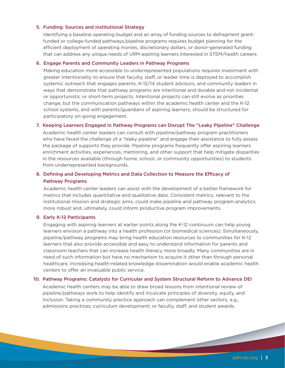# 5. Funding: Sources and Institutional Strategy

Identifying a baseline operating budget and an array of funding sources to defragment grantfunded or college-funded pathways/pipeline programs requires budget planning for the efficient deployment of operating monies, discretionary dollars, or donor-generated funding that can address any unique needs of URM aspiring learners interested in STEM/health careers.

### 6. Engage Parents and Community Leaders in Pathway Programs

Making education more accessible to underrepresented populations requires investment with greater intentionality to ensure that faculty, staff, or leader time is deployed to accomplish systemic outreach that engages parents, K-12/14 student advisors, and community leaders in ways that demonstrate that pathway programs are intentional and durable and not incidental or opportunistic or short-term projects. Intentional projects can still evolve as priorities change, but the communication pathways within the academic health center and the K-12 school systems, and with parents/guardians of aspiring learners, should be structured for participatory on-going engagement.

# 7. Keeping Learners Engaged in Pathway Programs can Disrupt The "Leaky Pipeline" Challenge

Academic health center leaders can consult with pipeline/pathway program practitioners who have faced the challenge of a "leaky pipeline" and engage their assistance to fully assess the package of supports they provide. Pipeline programs frequently offer aspiring learners enrichment activities, experiences, mentoring, and other support that help mitigate disparities in the resources available (through home, school, or community opportunities) to students from underrepresented backgrounds.

# 8. Defining and Developing Metrics and Data Collection to Measure the Efficacy of Pathway Programs

Academic health center leaders can assist with the development of a better framework for metrics that includes quantitative and qualitative data. Consistent metrics, relevant to the institutional mission and strategic aims, could make pipeline and pathway program analytics more robust and, ultimately, could inform productive program improvements.

# 9. Early K-12 Participants

Engaging with aspiring learners at earlier points along the K-12 continuum can help young learners envision a pathway into a health profession (or biomedical sciences). Simultaneously, pipeline/pathway programs may bring health education resources to communities for K-12 learners that also provide accessible and easy to understand information for parents and classroom teachers that can increase health literacy more broadly. Many communities are in need of such information but have no mechanism to acquire it other than through personal healthcare. Increasing health-related knowledge dissemination would enable academic health centers to offer an invaluable public service.

# 10. Pathway Programs: Catalysts for Curricular and System Structural Reform to Advance DEI

Academic health centers may be able to draw broad lessons from intentional review of pipeline/pathways work to help identify and inculcate principles of diversity, equity, and inclusion. Taking a community practice approach can complement other sectors, e.g., admissions practices; curriculum development; or faculty, staff, and student awards.